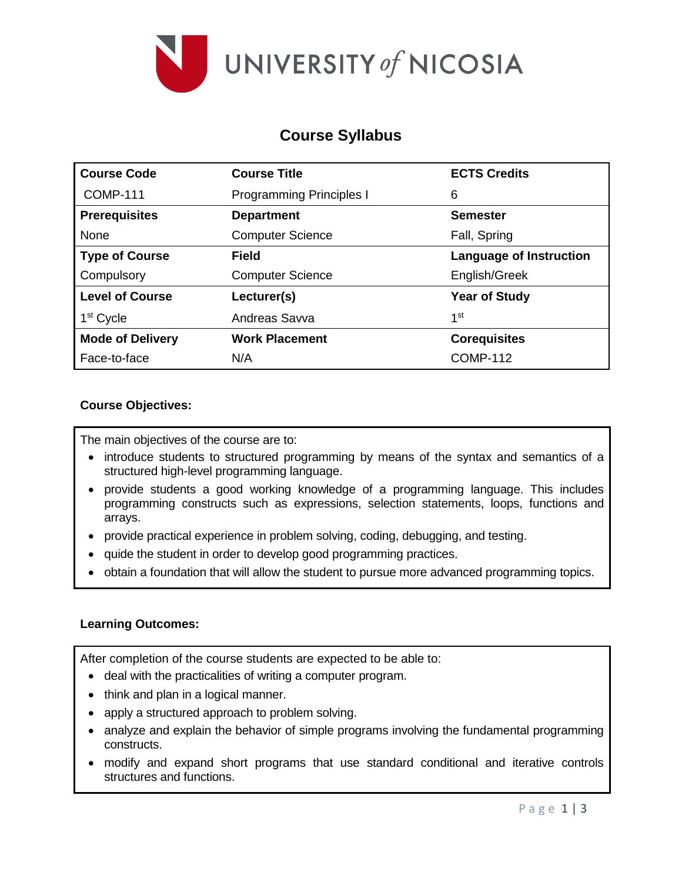

# **Course Syllabus**

| <b>Course Code</b>      | <b>Course Title</b>             | <b>ECTS Credits</b>            |  |  |
|-------------------------|---------------------------------|--------------------------------|--|--|
| <b>COMP-111</b>         | <b>Programming Principles I</b> | 6                              |  |  |
| <b>Prerequisites</b>    | <b>Department</b>               | <b>Semester</b>                |  |  |
| None                    | <b>Computer Science</b>         | Fall, Spring                   |  |  |
| <b>Type of Course</b>   | Field                           | <b>Language of Instruction</b> |  |  |
| Compulsory              | <b>Computer Science</b>         | English/Greek                  |  |  |
| <b>Level of Course</b>  | Lecturer(s)                     | <b>Year of Study</b>           |  |  |
| 1 <sup>st</sup> Cycle   | Andreas Savva                   | 1st                            |  |  |
| <b>Mode of Delivery</b> | <b>Work Placement</b>           | <b>Corequisites</b>            |  |  |
| Face-to-face            | N/A                             | <b>COMP-112</b>                |  |  |

# **Course Objectives:**

The main objectives of the course are to:

- introduce students to structured programming by means of the syntax and semantics of a structured high-level programming language.
- provide students a good working knowledge of a programming language. This includes programming constructs such as expressions, selection statements, loops, functions and arrays.
- provide practical experience in problem solving, coding, debugging, and testing.
- quide the student in order to develop good programming practices.
- obtain a foundation that will allow the student to pursue more advanced programming topics.

#### **Learning Outcomes:**

After completion of the course students are expected to be able to:

- deal with the practicalities of writing a computer program.
- think and plan in a logical manner.
- apply a structured approach to problem solving.
- analyze and explain the behavior of simple programs involving the fundamental programming constructs.
- modify and expand short programs that use standard conditional and iterative controls structures and functions.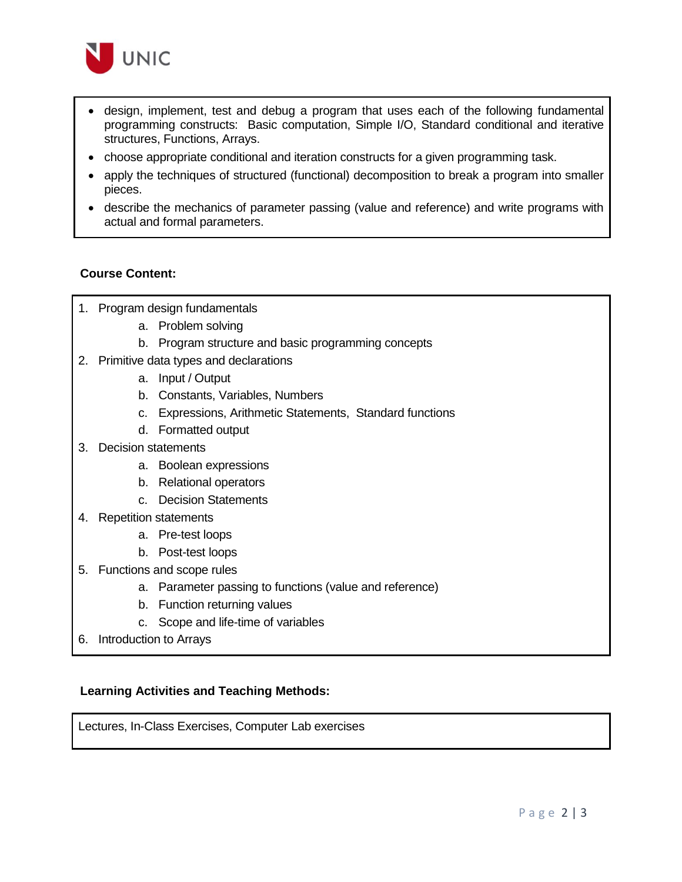

- design, implement, test and debug a program that uses each of the following fundamental programming constructs: Basic computation, Simple I/O, Standard conditional and iterative structures, Functions, Arrays.
- choose appropriate conditional and iteration constructs for a given programming task.
- apply the techniques of structured (functional) decomposition to break a program into smaller pieces.
- describe the mechanics of parameter passing (value and reference) and write programs with actual and formal parameters.

# **Course Content:**

- 1. Program design fundamentals
	- a. Problem solving
	- b. Program structure and basic programming concepts
- 2. Primitive data types and declarations
	- a. Input / Output
	- b. Constants, Variables, Numbers
	- c. Expressions, Arithmetic Statements, Standard functions
	- d. Formatted output
- 3. Decision statements
	- a. Boolean expressions
	- b. Relational operators
	- c. Decision Statements
- 4. Repetition statements
	- a. Pre-test loops
	- b. Post-test loops
- 5. Functions and scope rules
	- a. Parameter passing to functions (value and reference)
	- b. Function returning values
	- c. Scope and life-time of variables
- 6. Introduction to Arrays

#### **Learning Activities and Teaching Methods:**

Lectures, In-Class Exercises, Computer Lab exercises